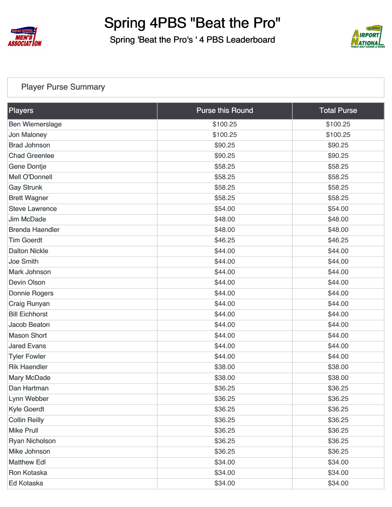

Spring 'Beat the Pro's ' 4 PBS Leaderboard



#### [Player Purse Summary](https://static.golfgenius.com/v2tournaments/total_purse?league_id=8494243041257751480&round_id=8494296675332948779)

| Players                | <b>Purse this Round</b> | <b>Total Purse</b> |
|------------------------|-------------------------|--------------------|
| <b>Ben Wiemerslage</b> | \$100.25                | \$100.25           |
| <b>Jon Maloney</b>     | \$100.25                | \$100.25           |
| <b>Brad Johnson</b>    | \$90.25                 | \$90.25            |
| <b>Chad Greenlee</b>   | \$90.25                 | \$90.25            |
| <b>Gene Dontje</b>     | \$58.25                 | \$58.25            |
| <b>Mell O'Donnell</b>  | \$58.25                 | \$58.25            |
| <b>Gay Strunk</b>      | \$58.25                 | \$58.25            |
| <b>Brett Wagner</b>    | \$58.25                 | \$58.25            |
| <b>Steve Lawrence</b>  | \$54.00                 | \$54.00            |
| <b>Jim McDade</b>      | \$48.00                 | \$48.00            |
| <b>Brenda Haendler</b> | \$48.00                 | \$48.00            |
| <b>Tim Goerdt</b>      | \$46.25                 | \$46.25            |
| <b>Dalton Nickle</b>   | \$44.00                 | \$44.00            |
| <b>Joe Smith</b>       | \$44.00                 | \$44.00            |
| <b>Mark Johnson</b>    | \$44.00                 | \$44.00            |
| <b>Devin Olson</b>     | \$44.00                 | \$44.00            |
| <b>Donnie Rogers</b>   | \$44.00                 | \$44.00            |
| <b>Craig Runyan</b>    | \$44.00                 | \$44.00            |
| <b>Bill Eichhorst</b>  | \$44.00                 | \$44.00            |
| <b>Jacob Beaton</b>    | \$44.00                 | \$44.00            |
| <b>Mason Short</b>     | \$44.00                 | \$44.00            |
| <b>Jared Evans</b>     | \$44.00                 | \$44.00            |
| <b>Tyler Fowler</b>    | \$44.00                 | \$44.00            |
| <b>Rik Haendler</b>    | \$38.00                 | \$38.00            |
| <b>Mary McDade</b>     | \$38.00                 | \$38.00            |
| Dan Hartman            | \$36.25                 | \$36.25            |
| Lynn Webber            | \$36.25                 | \$36.25            |
| <b>Kyle Goerdt</b>     | \$36.25                 | \$36.25            |
| <b>Collin Reilly</b>   | \$36.25                 | \$36.25            |
| <b>Mike Prull</b>      | \$36.25                 | \$36.25            |
| <b>Ryan Nicholson</b>  | \$36.25                 | \$36.25            |
| Mike Johnson           | \$36.25                 | \$36.25            |
| <b>Matthew Edl</b>     | \$34.00                 | \$34.00            |
| Ron Kotaska            | \$34.00                 | \$34.00            |
| Ed Kotaska             | \$34.00                 | \$34.00            |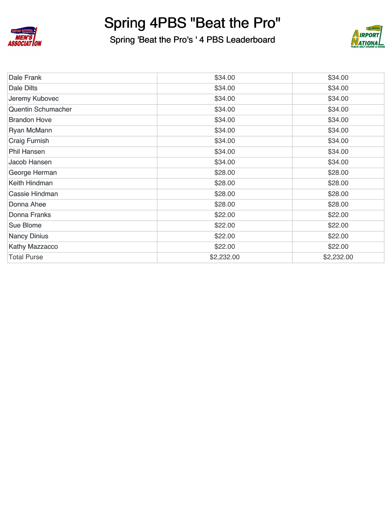

Spring 'Beat the Pro's ' 4 PBS Leaderboard



| Dale Frank                | \$34.00    | \$34.00    |
|---------------------------|------------|------------|
| Dale Dilts                | \$34.00    | \$34.00    |
| Jeremy Kubovec            | \$34.00    | \$34.00    |
| <b>Quentin Schumacher</b> | \$34.00    | \$34.00    |
| <b>Brandon Hove</b>       | \$34.00    | \$34.00    |
| <b>Ryan McMann</b>        | \$34.00    | \$34.00    |
| <b>Craig Furnish</b>      | \$34.00    | \$34.00    |
| <b>Phil Hansen</b>        | \$34.00    | \$34.00    |
| Jacob Hansen              | \$34.00    | \$34.00    |
| George Herman             | \$28.00    | \$28.00    |
| Keith Hindman             | \$28.00    | \$28.00    |
| Cassie Hindman            | \$28.00    | \$28.00    |
| Donna Ahee                | \$28.00    | \$28.00    |
| <b>Donna Franks</b>       | \$22.00    | \$22.00    |
| <b>Sue Blome</b>          | \$22.00    | \$22.00    |
| <b>Nancy Dinius</b>       | \$22.00    | \$22.00    |
| <b>Kathy Mazzacco</b>     | \$22.00    | \$22.00    |
| <b>Total Purse</b>        | \$2,232.00 | \$2,232.00 |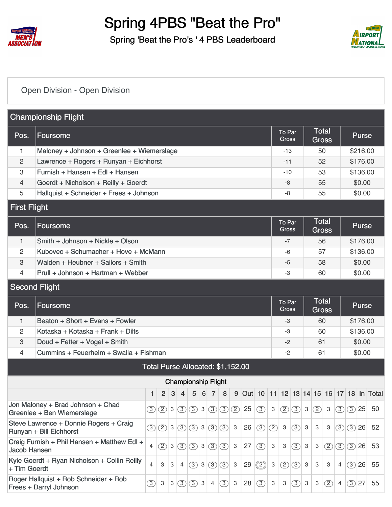

Spring 'Beat the Pro's ' 4 PBS Leaderboard



#### [Open Division - Open Division](https://static.golfgenius.com/v2tournaments/8497277067090494093?called_from=&round_index=1)

| <b>Championship Flight</b> |                                                                   |               |               |            |                |                                                           |  |                               |                                   |                           |    |     |     |                        |                               |                           |                              |               |                |               |              |                                           |
|----------------------------|-------------------------------------------------------------------|---------------|---------------|------------|----------------|-----------------------------------------------------------|--|-------------------------------|-----------------------------------|---------------------------|----|-----|-----|------------------------|-------------------------------|---------------------------|------------------------------|---------------|----------------|---------------|--------------|-------------------------------------------|
| Pos.                       | <b>Foursome</b>                                                   |               |               |            |                |                                                           |  |                               |                                   |                           |    |     |     | To Par<br><b>Gross</b> |                               |                           | <b>Total</b><br><b>Gross</b> |               |                |               | <b>Purse</b> |                                           |
| 1                          | Maloney + Johnson + Greenlee + Wiemerslage                        |               |               |            |                |                                                           |  |                               |                                   |                           |    |     |     | $-13$                  |                               |                           | 50                           |               |                |               | \$216.00     |                                           |
| 2                          | Lawrence + Rogers + Runyan + Eichhorst                            |               |               |            |                |                                                           |  |                               |                                   |                           |    |     |     | $-11$                  |                               |                           | 52                           |               |                |               | \$176.00     |                                           |
| 3                          | Furnish + Hansen + Edl + Hansen                                   |               |               |            |                |                                                           |  |                               |                                   |                           |    |     |     | $-10$                  |                               |                           | 53                           |               |                |               | \$136.00     |                                           |
| 4                          | Goerdt + Nicholson + Reilly + Goerdt                              |               |               |            |                |                                                           |  |                               |                                   |                           |    |     |     | $-8$                   |                               |                           | 55                           |               |                |               | \$0.00       |                                           |
| 5                          | Hallquist + Schneider + Frees + Johnson                           |               |               |            |                |                                                           |  |                               |                                   |                           |    |     |     | -8                     |                               |                           | 55                           |               |                |               | \$0.00       |                                           |
| <b>First Flight</b>        |                                                                   |               |               |            |                |                                                           |  |                               |                                   |                           |    |     |     |                        |                               |                           |                              |               |                |               |              |                                           |
| Pos.                       | <b>Foursome</b>                                                   |               |               |            |                |                                                           |  |                               |                                   |                           |    |     |     | To Par<br>Gross        |                               |                           | <b>Total</b><br><b>Gross</b> |               |                |               | <b>Purse</b> |                                           |
| 1                          | Smith + Johnson + Nickle + Olson                                  |               |               |            |                |                                                           |  |                               |                                   |                           |    |     |     | $-7$                   |                               |                           | 56                           |               |                |               | \$176.00     |                                           |
| 2                          | Kubovec + Schumacher + Hove + McMann                              |               |               |            |                |                                                           |  |                               |                                   |                           |    |     |     | $-6$                   |                               |                           | 57                           |               |                |               | \$136.00     |                                           |
| 3                          | Walden + Heubner + Sailors + Smith                                |               |               |            |                |                                                           |  |                               |                                   |                           |    |     |     | $-5$                   |                               |                           | 58                           |               |                |               | \$0.00       |                                           |
| 4                          | Prull + Johnson + Hartman + Webber                                |               |               |            |                |                                                           |  |                               |                                   |                           |    |     |     | -3                     |                               |                           | 60                           |               |                |               | \$0.00       |                                           |
|                            | <b>Second Flight</b>                                              |               |               |            |                |                                                           |  |                               |                                   |                           |    |     |     |                        |                               |                           |                              |               |                |               |              |                                           |
| Pos.                       | Foursome                                                          |               |               |            |                |                                                           |  |                               |                                   |                           |    |     |     |                        | <b>To Par</b><br><b>Gross</b> |                           | <b>Total</b><br><b>Gross</b> |               |                |               | <b>Purse</b> |                                           |
| $\mathbf{1}$               | Beaton + Short + Evans + Fowler                                   |               |               |            |                |                                                           |  |                               |                                   |                           |    |     |     | -3                     |                               |                           | 60                           |               |                |               | \$176.00     |                                           |
| 2                          | Kotaska + Kotaska + Frank + Dilts                                 |               |               |            |                |                                                           |  |                               |                                   |                           |    |     |     | -3                     |                               |                           | 60                           |               |                |               | \$136.00     |                                           |
| 3                          | Doud + Fetter + Vogel + Smith                                     |               |               |            |                |                                                           |  |                               |                                   |                           |    |     |     | $-2$                   |                               |                           | 61                           |               |                |               | \$0.00       |                                           |
| 4                          | Cummins + Feuerhelm + Swalla + Fishman                            |               |               |            |                |                                                           |  |                               |                                   |                           |    |     |     | $-2$                   |                               |                           | 61                           |               |                |               | \$0.00       |                                           |
|                            |                                                                   |               |               |            |                |                                                           |  |                               | Total Purse Allocated: \$1,152.00 |                           |    |     |     |                        |                               |                           |                              |               |                |               |              |                                           |
|                            |                                                                   |               |               |            |                | <b>Championship Flight</b>                                |  |                               |                                   |                           |    |     |     |                        |                               |                           |                              |               |                |               |              |                                           |
|                            |                                                                   | $\mathbf{1}$  |               | 2 3        |                | $4 \mid 5 \mid 6 \mid 7 \mid 8$                           |  |                               |                                   |                           |    |     |     |                        |                               |                           |                              |               |                |               |              | 9 Out 10 11 12 13 14 15 16 17 18 In Total |
|                            | Jon Maloney + Brad Johnson + Chad<br>Greenlee + Ben Wiemerslage   | (3)           | (2)           | 3          | $\circ$        |                                                           |  | (3)3(3)                       | $\circled{3}$                     | (2)                       | 25 | (3) | 3   | $\circled{2}$          | $\circled{3}$                 | $\mathbf 3$               | $\circled{2}$                | 3             | $\circled{3}$  | $\circled{3}$ | 25           | 50                                        |
|                            | Steve Lawrence + Donnie Rogers + Craig<br>Runyan + Bill Eichhorst | $\circled{3}$ | $(2)$ 3       |            | $\circ$        | $\left  \circled{3} \right  3 \left  \circled{3} \right $ |  |                               | $\left( 3\right)$                 | $\ensuremath{\mathsf{3}}$ | 26 | (3) | (2) | 3                      | (3)                           | $\mathsf 3$               | 3                            | 3             | (3)            | $(3)$ 26      |              | 52                                        |
| <b>Jacob Hansen</b>        | Craig Furnish + Phil Hansen + Matthew Edl +                       | 4             | $\circled{2}$ | $\sqrt{3}$ | $\circled{3}$  |                                                           |  | $\circled{3}$ 3 $\circled{3}$ | (3)                               | 3                         | 27 | (3) | 3   | 3                      | $\circled{3}$                 | $\ensuremath{\mathsf{3}}$ | 3                            | $\circled{2}$ | $\circled{3}$  | $\circled{3}$ | 26           | 53                                        |
| + Tim Goerdt               | Kyle Goerdt + Ryan Nicholson + Collin Reilly                      | 4             | 3             | 3          | $\overline{4}$ |                                                           |  | (3)3(3)                       | (3)                               | 3                         | 29 | ②   | 3   | $^{\circledR}$         | $\circled{3}$                 | 3                         | 3                            | 3             | $\overline{4}$ | (3)           | 26           | 55                                        |
|                            | Roger Hallquist + Rob Schneider + Rob<br>Frees + Darryl Johnson   | $\circled{3}$ | 3             | 3          | (3)            | $\left  \circled{3} \right $ 3                            |  | $\overline{4}$                | $\circled{3}$                     | $\sqrt{3}$                | 28 | (3) | 3   | 3                      | $\circled{3}$                 | $\ensuremath{\mathsf{3}}$ | 3                            | (2)           | $\overline{4}$ | (3)           | 27           | 55                                        |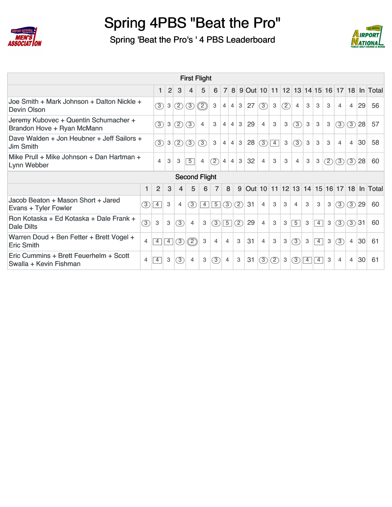

Spring 'Beat the Pro's ' 4 PBS Leaderboard



|                                                                     |               |                |                |                |                | <b>First Flight</b> |                |                 |                |                    |                |                |     |                |   |                 |     |                |                |          |                                             |
|---------------------------------------------------------------------|---------------|----------------|----------------|----------------|----------------|---------------------|----------------|-----------------|----------------|--------------------|----------------|----------------|-----|----------------|---|-----------------|-----|----------------|----------------|----------|---------------------------------------------|
|                                                                     |               | $\mathbf{1}$   | $\overline{2}$ | 3              | 4              | 5                   | 6              | $\overline{7}$  |                |                    |                |                |     |                |   |                 |     |                |                |          | 8 9 Out 10 11 12 13 14 15 16 17 18 In Total |
| Joe Smith + Mark Johnson + Dalton Nickle +<br>Devin Olson           |               | $\circled{3}$  | 3              | $\circled{2}$  | (3)            | $\circled{2}$       | 3              | 4               | $\overline{4}$ | $\mathbf{3}$<br>27 | $\sqrt{3}$     | 3              | (2) | $\overline{4}$ | 3 | 3               | 3   | $\overline{4}$ | $\overline{4}$ | 29       | 56                                          |
| Jeremy Kubovec + Quentin Schumacher +<br>Brandon Hove + Ryan McMann |               | $\circled{3}$  | 3              | (2)            | (3)            | $\overline{4}$      | 3              | $\overline{4}$  | $\overline{4}$ | 29<br>3            | $\overline{4}$ | 3              | 3   | (3)            | 3 | 3               | 3   | 3              |                | $(3)$ 28 | 57                                          |
| Dave Walden + Jon Heubner + Jeff Sailors +<br><b>Jim Smith</b>      |               | $\circled{3}$  | 3              | (2)            | (3)            | (3)                 | 3              | $\overline{4}$  | $\overline{4}$ | 28<br>$\mathbf{3}$ | (3)            | $\overline{4}$ | 3   | (3)            | 3 | 3               | 3   | $\overline{4}$ | $\overline{4}$ | 30       | 58                                          |
| Mike Prull + Mike Johnson + Dan Hartman +<br>Lynn Webber            |               | $\overline{4}$ | 3              | 3              | $\overline{5}$ | $\overline{4}$      | (2)            | $\vert 4 \vert$ | $\overline{4}$ | 32<br>$\mathbf{3}$ | $\overline{4}$ | 3              | 3   | 4              | 3 | 3               | (2) | (3)            |                | $(3)$ 28 | 60                                          |
| <b>Second Flight</b>                                                |               |                |                |                |                |                     |                |                 |                |                    |                |                |     |                |   |                 |     |                |                |          |                                             |
|                                                                     | 1             | 2              | 3              | $\overline{4}$ | 5              | 6                   | 7              | 8               | 9              |                    |                |                |     |                |   |                 |     |                |                |          | Out 10 11 12 13 14 15 16 17 18 In Total     |
| Jacob Beaton + Mason Short + Jared<br>Evans + Tyler Fowler          | $\circled{3}$ | $\overline{4}$ | 3              | $\overline{4}$ | (3)            | $\overline{4}$      | $\boxed{5}$    | $\circled{3}$   | (2)            | 31                 | $\overline{4}$ | 3              | 3   | 4              | 3 | 3               | 3   | (3)            |                | $(3)$ 29 | 60                                          |
| Ron Kotaska + Ed Kotaska + Dale Frank +<br>Dale Dilts               | $\circled{3}$ | $\mathbf{3}$   | 3              | (3)            | $\overline{4}$ | 3                   | $\circled{3}$  | $\boxed{5}$     | $\circled{2}$  | 29                 | $\overline{4}$ | 3              | 3   | $\overline{5}$ | 3 | $\overline{4}$  | 3   | (3)            | (3)31          |          | 60                                          |
|                                                                     |               |                |                |                |                |                     |                |                 |                |                    |                |                |     |                |   |                 |     |                |                |          |                                             |
| Warren Doud + Ben Fetter + Brett Vogel +<br><b>Eric Smith</b>       | 4             | $\overline{4}$ | $\overline{4}$ | $\circled{3}$  | $\circled{2}$  | 3                   | $\overline{4}$ | $\overline{4}$  | 3              | 31                 | $\overline{4}$ | 3              | 3   | (3)            | 3 | $\vert 4 \vert$ | 3   | $\circled{3}$  | $\overline{4}$ | 30       | 61                                          |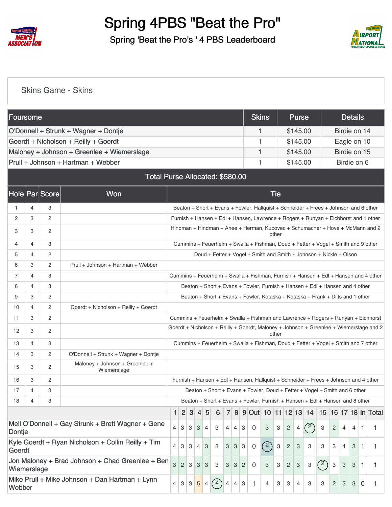

Spring 'Beat the Pro's ' 4 PBS Leaderboard



#### [Skins Game - Skins](https://static.golfgenius.com/v2tournaments/8497290104195285647?called_from=&round_index=1)

| Foursome    |   |                |                                                    |              |                |              |                 |                 |     |                |                |                |                | <b>Skins</b> |            | <b>Purse</b>                                                                           |     |                |                |   | <b>Details</b> |                |    |
|-------------|---|----------------|----------------------------------------------------|--------------|----------------|--------------|-----------------|-----------------|-----|----------------|----------------|----------------|----------------|--------------|------------|----------------------------------------------------------------------------------------|-----|----------------|----------------|---|----------------|----------------|----|
|             |   |                | O'Donnell + Strunk + Wagner + Dontje               |              |                |              |                 |                 |     |                |                |                |                | 1            |            | \$145.00                                                                               |     |                |                |   | Birdie on 14   |                |    |
|             |   |                | Goerdt + Nicholson + Reilly + Goerdt               |              |                |              |                 |                 |     |                |                |                |                | 1            |            | \$145.00                                                                               |     |                |                |   | Eagle on 10    |                |    |
|             |   |                | Maloney + Johnson + Greenlee + Wiemerslage         |              |                |              |                 |                 |     |                |                |                |                | 1            |            | \$145.00                                                                               |     |                |                |   | Birdie on 15   |                |    |
|             |   |                | Prull + Johnson + Hartman + Webber                 |              |                |              |                 |                 |     |                |                |                |                | 1            |            | \$145.00                                                                               |     |                |                |   | Birdie on 6    |                |    |
|             |   |                | <b>Total Purse Allocated: \$580.00</b>             |              |                |              |                 |                 |     |                |                |                |                |              |            |                                                                                        |     |                |                |   |                |                |    |
|             |   | Hole Par Score | Won                                                |              |                |              |                 |                 |     |                |                |                |                |              | <b>Tie</b> |                                                                                        |     |                |                |   |                |                |    |
| 1.          | 4 | 3              |                                                    |              |                |              |                 |                 |     |                |                |                |                |              |            | Beaton + Short + Evans + Fowler, Hallquist + Schneider + Frees + Johnson and 6 other   |     |                |                |   |                |                |    |
| 2           | 3 | $\overline{c}$ |                                                    |              |                |              |                 |                 |     |                |                |                |                |              |            | Furnish + Hansen + Edl + Hansen, Lawrence + Rogers + Runyan + Eichhorst and 1 other    |     |                |                |   |                |                |    |
| 3           | 3 | 2              |                                                    |              |                |              |                 |                 |     |                |                |                |                |              | other      | Hindman + Hindman + Ahee + Herman, Kubovec + Schumacher + Hove + McMann and 2          |     |                |                |   |                |                |    |
| 4           | 4 | 3              |                                                    |              |                |              |                 |                 |     |                |                |                |                |              |            | Cummins + Feuerhelm + Swalla + Fishman, Doud + Fetter + Vogel + Smith and 9 other      |     |                |                |   |                |                |    |
| 5           | 4 | $\overline{c}$ |                                                    |              |                |              |                 |                 |     |                |                |                |                |              |            | Doud + Fetter + Vogel + Smith and Smith + Johnson + Nickle + Olson                     |     |                |                |   |                |                |    |
| 6           | 3 | 2              | Prull + Johnson + Hartman + Webber                 |              |                |              |                 |                 |     |                |                |                |                |              |            |                                                                                        |     |                |                |   |                |                |    |
| 7           | 4 | 3              |                                                    |              |                |              |                 |                 |     |                |                |                |                |              |            | Cummins + Feuerhelm + Swalla + Fishman, Furnish + Hansen + Edl + Hansen and 4 other    |     |                |                |   |                |                |    |
| 8           | 4 | 3              |                                                    |              |                |              |                 |                 |     |                |                |                |                |              |            | Beaton + Short + Evans + Fowler, Furnish + Hansen + Edl + Hansen and 4 other           |     |                |                |   |                |                |    |
| 9           | 3 | $\overline{c}$ |                                                    |              |                |              |                 |                 |     |                |                |                |                |              |            | Beaton + Short + Evans + Fowler, Kotaska + Kotaska + Frank + Dilts and 1 other         |     |                |                |   |                |                |    |
| 10          | 4 | 2              | Goerdt + Nicholson + Reilly + Goerdt               |              |                |              |                 |                 |     |                |                |                |                |              |            |                                                                                        |     |                |                |   |                |                |    |
| 11          | 3 | 2              |                                                    |              |                |              |                 |                 |     |                |                |                |                |              |            | Cummins + Feuerhelm + Swalla + Fishman and Lawrence + Rogers + Runyan + Eichhorst      |     |                |                |   |                |                |    |
| 12          | 3 | $\overline{c}$ |                                                    |              |                |              |                 |                 |     |                |                |                |                |              | other      | Goerdt + Nicholson + Reilly + Goerdt, Maloney + Johnson + Greenlee + Wiemerslage and 2 |     |                |                |   |                |                |    |
| 13          | 4 | 3              |                                                    |              |                |              |                 |                 |     |                |                |                |                |              |            | Cummins + Feuerhelm + Swalla + Fishman, Doud + Fetter + Vogel + Smith and 7 other      |     |                |                |   |                |                |    |
| 14          | 3 | 2              | O'Donnell + Strunk + Wagner + Dontje               |              |                |              |                 |                 |     |                |                |                |                |              |            |                                                                                        |     |                |                |   |                |                |    |
| 15          | 3 | $\overline{2}$ | Maloney + Johnson + Greenlee +<br>Wiemerslage      |              |                |              |                 |                 |     |                |                |                |                |              |            |                                                                                        |     |                |                |   |                |                |    |
| 16          | 3 | $\overline{c}$ |                                                    |              |                |              |                 |                 |     |                |                |                |                |              |            | Furnish + Hansen + Edl + Hansen, Hallquist + Schneider + Frees + Johnson and 4 other   |     |                |                |   |                |                |    |
| 17          | 4 | 3              |                                                    |              |                |              |                 |                 |     |                |                |                |                |              |            | Beaton + Short + Evans + Fowler, Doud + Fetter + Vogel + Smith and 6 other             |     |                |                |   |                |                |    |
| 18          | 4 | 3              |                                                    |              |                |              |                 |                 |     |                |                |                |                |              |            | Beaton + Short + Evans + Fowler, Furnish + Hansen + Edl + Hansen and 8 other           |     |                |                |   |                |                |    |
|             |   |                |                                                    | $\mathbf{1}$ |                | 2 3          | $\vert 4 \vert$ | 5               | 6   |                |                |                |                |              |            | 7 8 9 Out 10 11 12 13 14 15 16 17 18 In Total                                          |     |                |                |   |                |                |    |
| Dontje      |   |                | Mell O'Donnell + Gay Strunk + Brett Wagner + Gene  | 4            | $\mathbf{3}$   | $3 \mid$     | 3               | 4               | 3   | 4              | $\overline{4}$ | 3              | $\overline{0}$ | 3            | 3          | $\mathbf{2}$<br>4                                                                      | (2) | 3              | $\overline{c}$ | 4 | 4              | 1              | 1. |
| Goerdt      |   |                | Kyle Goerdt + Ryan Nicholson + Collin Reilly + Tim | 4            | 3              | 3            | $\overline{4}$  | 3               | 3   | 3              | 3 <sup>1</sup> | $\mathbf{3}$   | $\overline{0}$ | (2)          | 3          | $\overline{\mathbf{c}}$<br>$\ensuremath{\mathsf{3}}$                                   | 3   | 3              | 3              | 4 | 3              | 1              |    |
| Wiemerslage |   |                | Jon Maloney + Brad Johnson + Chad Greenlee + Ben   | 3            | $\overline{2}$ | $\mathbf{3}$ | 3 <sup>1</sup>  | 3               | 3   | 3              | 3              | $\overline{2}$ | 0              | 3            | 3          | $\overline{c}$<br>3                                                                    | 3   | $\binom{2}{ }$ | 3              | 3 | 3              | 1              | 1  |
| Webber      |   |                | Mike Prull + Mike Johnson + Dan Hartman + Lynn     | 4            | 3 <sup>1</sup> | $\mathbf{3}$ | $5\phantom{.0}$ | $\vert 4 \vert$ | (2) | $\overline{4}$ | $\overline{4}$ | 3              | 1              | 4            | 3          | 3<br>4                                                                                 | 3   | 3              | 2              | 3 | 3              | $\overline{0}$ | 1  |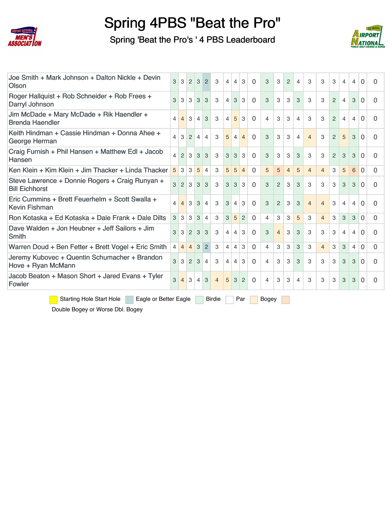

Spring 'Beat the Pro's ' 4 PBS Leaderboard



| Joe Smith + Mark Johnson + Dalton Nickle + Devin<br>Olson                | 3              | 3              | $\overline{2}$ | 3              | $\overline{2}$ | 3              | 4              | $\overline{4}$  | 3              | $\Omega$       | 3              | 3              | $\overline{2}$ | 4              | 3              | 3              | 3             | $\overline{4}$ | 4 | $\Omega$       | 0 |
|--------------------------------------------------------------------------|----------------|----------------|----------------|----------------|----------------|----------------|----------------|-----------------|----------------|----------------|----------------|----------------|----------------|----------------|----------------|----------------|---------------|----------------|---|----------------|---|
| Roger Hallquist + Rob Schneider + Rob Frees +<br>Darryl Johnson          | 3              | 3              | 3              | 3              | 3              | 3              | $\overline{4}$ | 3               | 3              | $\Omega$       | 3              | 3              | 3              | 3              | 3              | 3              | 2             | $\overline{4}$ | 3 | $\Omega$       | 0 |
| Jim McDade + Mary McDade + Rik Haendler +<br><b>Brenda Haendler</b>      | 4              | $\overline{4}$ | $\mathcal{S}$  | $\overline{4}$ | 3              | 3              | 4              | $5\overline{)}$ | 3              | $\Omega$       | $\overline{4}$ | 3              | 3              | 4              | 3              | 3              | $\mathcal{P}$ | 4              | 4 | $\Omega$       | 0 |
| Keith Hindman + Cassie Hindman + Donna Ahee +<br>George Herman           | $\overline{4}$ | 3              | 2              | $\overline{4}$ | $\overline{4}$ | 3              | 5              | $\overline{4}$  | $\overline{4}$ | $\Omega$       | 3              | 3              | 3              | $\overline{4}$ | $\overline{4}$ | 3              | 2             | 5              | 3 | $\mathbf 0$    | 0 |
| Craig Furnish + Phil Hansen + Matthew Edl + Jacob<br>Hansen              | $\overline{4}$ | $\overline{2}$ | 3              | 3              | 3              | 3              | 3              | 3               | 3              | $\Omega$       | 3              | 3              | 3              | 3              | 3              | 3              | 2             | 3              | 3 | $\Omega$       | 0 |
| Ken Klein + Kim Klein + Jim Thacker + Linda Thacker                      | 5              | 3              | 3              | 5              | $\overline{4}$ | 3              | 5              | 5               | $\overline{4}$ | $\mathbf 0$    | 5              | 5              | $\overline{4}$ | 5              | $\overline{4}$ | $\overline{4}$ | 3             | 5              | 6 | $\overline{0}$ | 0 |
| Steve Lawrence + Donnie Rogers + Craig Runyan +<br><b>Bill Eichhorst</b> | 3              | $\overline{2}$ | 3              | 3              | 3              | 3              | 3              | 3               | 3              | $\Omega$       | 3              | 2              | 3              | 3              | 3              | 3              | 3             | 3              | 3 | $\Omega$       | 0 |
| Eric Cummins + Brett Feuerhelm + Scott Swalla +<br><b>Kevin Fishman</b>  | $\overline{4}$ | $\overline{4}$ | 3              | 3              | $\overline{4}$ | 3              | 3              | $\overline{4}$  | 3              | $\Omega$       | 3              | 2              | 3              | 3              | $\overline{4}$ | $\overline{4}$ | 3             | 4              | 4 | $\Omega$       | 0 |
| Ron Kotaska + Ed Kotaska + Dale Frank + Dale Dilts                       | 3              | 3              | 3              | 3              | $\overline{4}$ | 3              | 3              | 5               | $\overline{2}$ | $\Omega$       | $\overline{4}$ | 3              | 3              | 5              | 3              | $\overline{4}$ | 3             | 3              | 3 | $\Omega$       | 0 |
| Dave Walden + Jon Heubner + Jeff Sailors + Jim<br>Smith                  | 3              | 3              | $\overline{2}$ | 3              | 3              | 3              | 4              | $\overline{4}$  | 3              | $\mathbf 0$    | 3              | $\overline{4}$ | 3              | 3              | 3              | 3              | 3             | $\overline{4}$ | 4 | $\Omega$       | 0 |
| Warren Doud + Ben Fetter + Brett Vogel + Eric Smith                      | $\overline{4}$ | $\overline{4}$ | $\overline{4}$ | 3              | $\overline{2}$ | 3              | 4              | $\overline{4}$  | 3              | $\overline{0}$ | $\overline{4}$ | 3              | 3              | 3              | 3              | $\overline{4}$ | 3             | 3              | 4 | $\overline{0}$ | 0 |
| Jeremy Kubovec + Quentin Schumacher + Brandon<br>Hove + Ryan McMann      | 3              | 3              | $\overline{2}$ | 3              | $\overline{4}$ | 3              | 4              | $\overline{4}$  | 3              | $\Omega$       | $\overline{4}$ | 3              | 3              | 3              | 3              | 3              | 3             | 3              | 3 | $\Omega$       | 0 |
| Jacob Beaton + Mason Short + Jared Evans + Tyler<br>Fowler               | 3              | $\overline{4}$ | 3              | $\overline{4}$ | 3              | $\overline{4}$ | 5              | 3               | $\overline{2}$ | $\overline{0}$ | 4              | 3              | 3              | 4              | 3              | 3              | 3             | 3              | 3 | $\Omega$       | 0 |
| <b>Starting Hole Start Hole</b><br>Eagle or Better Eagle                 |                |                |                |                |                | <b>Birdie</b>  |                |                 | Par            |                | <b>Bogey</b>   |                |                |                |                |                |               |                |   |                |   |

Double Bogey or Worse Dbl. Bogey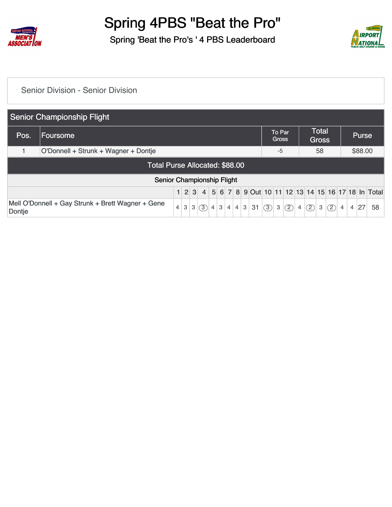

Spring 'Beat the Pro's ' 4 PBS Leaderboard



#### [Senior Division - Senior Division](https://static.golfgenius.com/v2tournaments/8497278437520605838?called_from=&round_index=1)

|        | <b>Senior Championship Flight</b>                         |                |   |   |                  |                |   |                |                |   |    |     |                        |     |                |     |                              |     |                |                |              |    |
|--------|-----------------------------------------------------------|----------------|---|---|------------------|----------------|---|----------------|----------------|---|----|-----|------------------------|-----|----------------|-----|------------------------------|-----|----------------|----------------|--------------|----|
| Pos.   | <b>Foursome</b>                                           |                |   |   |                  |                |   |                |                |   |    |     | To Par<br><b>Gross</b> |     |                |     | <b>Total</b><br><b>Gross</b> |     |                |                | <b>Purse</b> |    |
|        | O'Donnell + Strunk + Wagner + Dontje                      |                |   |   |                  |                |   |                |                |   |    |     | $-5$                   |     |                |     | 58                           |     |                |                | \$88.00      |    |
|        | Total Purse Allocated: \$88.00                            |                |   |   |                  |                |   |                |                |   |    |     |                        |     |                |     |                              |     |                |                |              |    |
|        | Senior Championship Flight                                |                |   |   |                  |                |   |                |                |   |    |     |                        |     |                |     |                              |     |                |                |              |    |
|        | 1 2 3 4 5 6 7 8 9 Out 10 11 12 13 14 15 16 17 18 In Total |                |   |   |                  |                |   |                |                |   |    |     |                        |     |                |     |                              |     |                |                |              |    |
| Dontje | Mell O'Donnell + Gay Strunk + Brett Wagner + Gene         | $\overline{4}$ | 3 | 3 | $\left(3\right)$ | $\overline{4}$ | 3 | $\overline{4}$ | $\overline{4}$ | 3 | 31 | (3) | 3                      | (2) | 4 <sup>1</sup> | (2) | 3                            | (2) | $\overline{4}$ | $\overline{4}$ | 27           | 58 |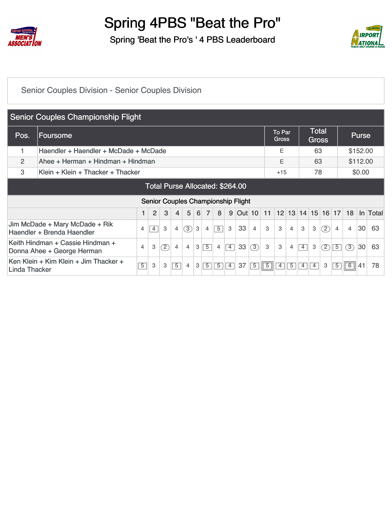

Spring 'Beat the Pro's ' 4 PBS Leaderboard



#### [Senior Couples Division - Senior Couples Division](https://static.golfgenius.com/v2tournaments/8497291464592622224?called_from=&round_index=1)

|                                        | <b>Senior Couples Championship Flight</b>                      |                          |                |     |                |                |   |                |                |                |            |                |            |                               |                |                   |                       |     |                |                |          |          |
|----------------------------------------|----------------------------------------------------------------|--------------------------|----------------|-----|----------------|----------------|---|----------------|----------------|----------------|------------|----------------|------------|-------------------------------|----------------|-------------------|-----------------------|-----|----------------|----------------|----------|----------|
| Pos.                                   | <b>Foursome</b>                                                |                          |                |     |                |                |   |                |                |                |            |                |            | <b>To Par</b><br><b>Gross</b> |                |                   | Total<br><b>Gross</b> |     |                |                | Purse    |          |
|                                        | Haendler + Haendler + McDade + McDade                          |                          |                |     |                |                |   |                |                |                |            |                |            | Ε                             |                |                   | 63                    |     |                |                | \$152.00 |          |
| 2                                      | Ahee + Herman + Hindman + Hindman                              |                          |                |     |                |                |   |                |                |                |            |                |            | E                             |                |                   | 63                    |     |                |                | \$112.00 |          |
| 3                                      | Klein + Klein + Thacker + Thacker                              |                          |                |     |                |                |   |                |                |                |            |                |            |                               | $+15$          |                   | 78                    |     |                |                | \$0.00   |          |
| <b>Total Purse Allocated: \$264.00</b> |                                                                |                          |                |     |                |                |   |                |                |                |            |                |            |                               |                |                   |                       |     |                |                |          |          |
|                                        | Senior Couples Championship Flight                             |                          |                |     |                |                |   |                |                |                |            |                |            |                               |                |                   |                       |     |                |                |          |          |
|                                        |                                                                |                          | $\overline{2}$ | 3   | 4              | 5              | 6 | $\overline{7}$ | 8              | 9              | $ Out $ 10 |                | 11         |                               |                | 12 13 14 15 16 17 |                       |     |                | 18             |          | In Total |
|                                        | Jim McDade + Mary McDade + Rik<br>Haendler + Brenda Haendler   | $\overline{\mathcal{A}}$ | $\overline{4}$ | 3   | 4              | (3)            | 3 | $\overline{4}$ | $\overline{5}$ | 3              | 33         | $\overline{4}$ | 3          | 3                             | $\overline{4}$ | 3                 | 3                     | (2) | $\overline{4}$ | $\overline{4}$ | 30       | 63       |
|                                        | Keith Hindman + Cassie Hindman +<br>Donna Ahee + George Herman | $\overline{4}$           | 3              | (2) | 4              | $\overline{4}$ | 3 | $\overline{5}$ | $\overline{4}$ | $\overline{4}$ | 33         | (3)            | 3          | 3                             | 4              | $\overline{4}$    | 3                     | (2) | $\overline{5}$ | 3              | 30       | 63       |
| Linda Thacker                          | Ken Klein + Kim Klein + Jim Thacker +                          | $\overline{5}$           | 3              | 3   | $\overline{5}$ | 4              | 3 | $\overline{5}$ | $\overline{5}$ | $\overline{4}$ | 37         | $\overline{5}$ | $\sqrt{5}$ | 4                             | 5              | $\overline{4}$    | $\overline{4}$        | 3   | $\overline{5}$ | 6              | 41       | 78       |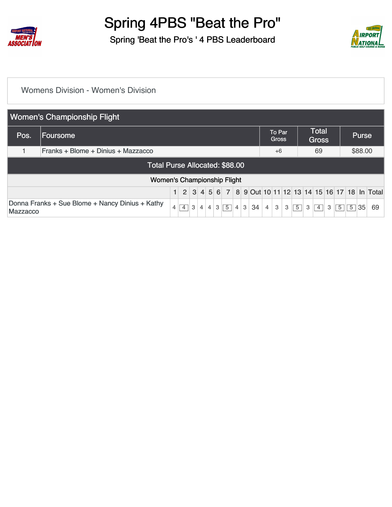

Spring 'Beat the Pro's ' 4 PBS Leaderboard



#### [Womens Division - Women's Division](https://static.golfgenius.com/v2tournaments/8497295471595782801?called_from=&round_index=1)

|          | <b>Women's Championship Flight</b>                                                                                                                         |  |  |  |  |  |  |  |  |  |    |                |                        |   |                |   |                              |   |                |                |              |    |
|----------|------------------------------------------------------------------------------------------------------------------------------------------------------------|--|--|--|--|--|--|--|--|--|----|----------------|------------------------|---|----------------|---|------------------------------|---|----------------|----------------|--------------|----|
| Pos.     | Foursome                                                                                                                                                   |  |  |  |  |  |  |  |  |  |    |                | To Par<br><b>Gross</b> |   |                |   | <b>Total</b><br><b>Gross</b> |   |                |                | <b>Purse</b> |    |
|          | Franks + Blome + Dinius + Mazzacco                                                                                                                         |  |  |  |  |  |  |  |  |  |    |                | $+6$                   |   |                |   | 69                           |   |                |                | \$88.00      |    |
|          | Total Purse Allocated: \$88.00                                                                                                                             |  |  |  |  |  |  |  |  |  |    |                |                        |   |                |   |                              |   |                |                |              |    |
|          | <b>Women's Championship Flight</b>                                                                                                                         |  |  |  |  |  |  |  |  |  |    |                |                        |   |                |   |                              |   |                |                |              |    |
|          | 2 3 4 5 6 7 8 9 Out 10 11 12 13 14 15 16 17 18 In Total                                                                                                    |  |  |  |  |  |  |  |  |  |    |                |                        |   |                |   |                              |   |                |                |              |    |
| Mazzacco | Donna Franks + Sue Blome + Nancy Dinius + Kathy<br>$\boxed{5}$<br>3<br>3<br>4<br>$\overline{4}$<br>$\overline{4}$<br>$\overline{4}$<br>$\overline{4}$<br>3 |  |  |  |  |  |  |  |  |  | 34 | $\overline{4}$ | 3                      | 3 | $\overline{5}$ | 3 | $\overline{4}$               | 3 | $\overline{5}$ | $\overline{5}$ | 35           | 69 |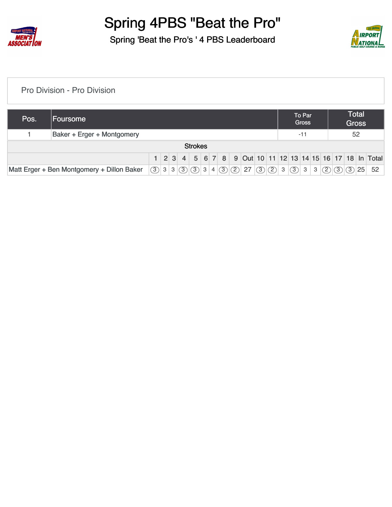

Spring 'Beat the Pro's ' 4 PBS Leaderboard



[Pro Division - Pro Division](https://static.golfgenius.com/v2tournaments/8497296750455849618?called_from=&round_index=1)

| Pos. | <b>Foursome</b>            |  |  |  |  |                |  |  |  |  |  |  |  |  | To Par<br><b>Gross</b> |  |  | <b>Total</b><br><b>Gross</b> |                                                           |
|------|----------------------------|--|--|--|--|----------------|--|--|--|--|--|--|--|--|------------------------|--|--|------------------------------|-----------------------------------------------------------|
|      | Baker + Erger + Montgomery |  |  |  |  |                |  |  |  |  |  |  |  |  | $-11$                  |  |  | 52                           |                                                           |
|      |                            |  |  |  |  | <b>Strokes</b> |  |  |  |  |  |  |  |  |                        |  |  |                              |                                                           |
|      |                            |  |  |  |  |                |  |  |  |  |  |  |  |  |                        |  |  |                              | 1 2 3 4 5 6 7 8 9 0ut 10 11 12 13 14 15 16 17 18 In Total |
|      |                            |  |  |  |  |                |  |  |  |  |  |  |  |  |                        |  |  |                              | 52                                                        |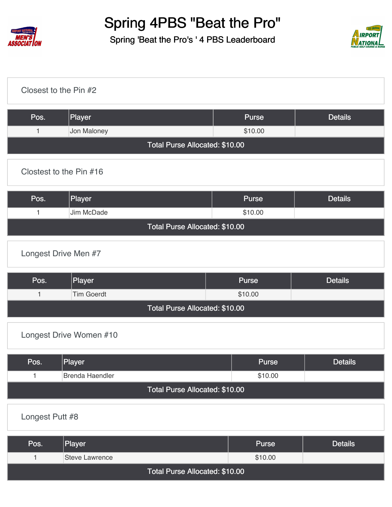

Spring 'Beat the Pro's ' 4 PBS Leaderboard



| Closest to the Pin #2 |                                |              |                |
|-----------------------|--------------------------------|--------------|----------------|
| Pos.                  | Player                         | <b>Purse</b> | <b>Details</b> |
| $\mathbf{1}$          | Jon Maloney                    | \$10.00      |                |
|                       | Total Purse Allocated: \$10.00 |              |                |
|                       | Clostest to the Pin #16        |              |                |
| Pos.                  | Player                         | <b>Purse</b> | <b>Details</b> |
| $\mathbf{1}$          | Jim McDade                     | \$10.00      |                |
|                       | Total Purse Allocated: \$10.00 |              |                |
|                       | Longest Drive Men #7           |              |                |
| Pos.                  | Player                         | <b>Purse</b> | <b>Details</b> |
| $\mathbf{1}$          | <b>Tim Goerdt</b>              | \$10.00      |                |
|                       | Total Purse Allocated: \$10.00 |              |                |
|                       | Longest Drive Women #10        |              |                |
| Pos.                  | Player                         | <b>Purse</b> | <b>Details</b> |
| 1                     | <b>Brenda Haendler</b>         | \$10.00      |                |
|                       | Total Purse Allocated: \$10.00 |              |                |

[Longest Putt #8](https://static.golfgenius.com/v2tournaments/8497368677602067095?called_from=&round_index=1)

| Pos.                           | Player         | <b>Purse</b> | <b>Details</b> |  |  |  |  |  |  |  |  |  |
|--------------------------------|----------------|--------------|----------------|--|--|--|--|--|--|--|--|--|
|                                | Steve Lawrence | \$10.00      |                |  |  |  |  |  |  |  |  |  |
| Total Purse Allocated: \$10.00 |                |              |                |  |  |  |  |  |  |  |  |  |